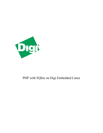

# PHP with SQlite on Digi Embedded Linux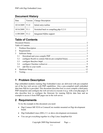## **Document History**

| Date              |      | Version   Change Description          |  |
|-------------------|------|---------------------------------------|--|
| $10/14/2009$ V1.0 |      | Initial entry/outline                 |  |
| $10/16/2009$ V1.1 |      | Switched back to compiling php-5.2.11 |  |
| 11/09/2009        | V1.2 | Integrated SQI ite support            |  |

## **Table of Contents**

| $\mathbf{1}$   |     |  |  |
|----------------|-----|--|--|
| $\overline{2}$ |     |  |  |
| 3              |     |  |  |
|                | 3.1 |  |  |
|                | 3.2 |  |  |
|                | 3.3 |  |  |
|                | 3.4 |  |  |
|                | 3.5 |  |  |
| 4              |     |  |  |
| 5              |     |  |  |

## **1 Problem Description**

Digi embedded modules running Digi Embedded Linux are delivered with pre-compiled out of the box web servers with PHP capabilities. Also a pre-compiled small embedded data base SQLite is provided. This document describes how to cross compile a third party PHP interpreter and configure the web server(s) to execute it (e.g. with a test.php page). It also describes how to configure the firmware for running SQLite data base and an example to access it from PHP pages run in the web server.

## **2 Requirements**

To try the example in this document you need:

- Digi Connect ME 9210 or ConnectCore module mounted on Digi development board.
- Digi Embedded Linux (DEL) 5.1 or above development environment.
- You can get everything together in a Digi Linux JumpStart Kit

Copyright 2009 Digi International Page 2/14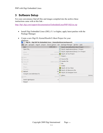### **3 Software Setup**

For your convenience find all files and images compiled into the archive these instructions came with at this link –

http://ftp1.digi.com/support/documentation/EmbeddedLinuxPHP-SQLite.zip

- Install Digi Embedded Linux (DEL) 5.1 or higher, apply latest patches with the Package Manager.
- Create a new Digi EL Kernel/Rootfs/U-Boot Project for your platform:

| Digi EL - Digi ESP for Embedded Linux - /home/tkuhlman/workspace51<br>$(\cdot)$ |  |              |                                                                                                |        |
|---------------------------------------------------------------------------------|--|--------------|------------------------------------------------------------------------------------------------|--------|
| $File$ $Edit$                                                                   |  |              | <u>Navigate Search Project Device.options Run P</u> ackage.Manager <u>W</u> indow <u>H</u> elp |        |
| New                                                                             |  |              | Shift+Alt+N > B Digi EL Kernel/Rootfs/U-Boot Project                                           |        |
| Open File                                                                       |  |              | Digi EL Application/Library C Project                                                          |        |
| Close                                                                           |  | $Ctrl+W$     | $\boxed{\phantom{a}}$ Digi EL Application/Library C++ Project                                  |        |
| Close All                                                                       |  | shift+ctrl+w | Digi EL Qt Gui Project                                                                         |        |
| Ial Save                                                                        |  | $Ctrl + S$   | □ Project                                                                                      |        |
| الطاع Save As                                                                   |  |              | Source File                                                                                    |        |
| lsave All                                                                       |  | Shift+Ctrl+S | <b>h</b> Header File                                                                           |        |
| Revert                                                                          |  |              | $\lceil \hat{\mathbf{Y}} \rceil$ File                                                          |        |
|                                                                                 |  |              | in Folder                                                                                      |        |
| Mo <u>v</u> e                                                                   |  |              | O Digi EL Qt Gui Class                                                                         |        |
| Rename                                                                          |  |              | F <sub>2</sub><br>Digi EL Qt Resource File                                                     |        |
| ଝା<br>Refresh                                                                   |  |              | F <sub>5</sub><br>Digi EL Qt Designer Form                                                     |        |
| Convert Line Delimiters To                                                      |  |              | $\rightarrow$<br>□ Other                                                                       | Ctrl+N |
| 鱼 Print…                                                                        |  | $Ctrl + P$   |                                                                                                |        |
| Switch Workspace                                                                |  |              | ,                                                                                              |        |
| Restart                                                                         |  |              |                                                                                                |        |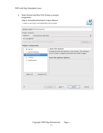#### PHP with Digi Embedded Linux

• Select Kernel and Root File System as project components:

|                           | Digi EL Kernel/Rootfs/U-Boot Project Wizard<br>Create a new Digi EL Kernel/Rootfs/U-Boot project |                                                               |        |
|---------------------------|--------------------------------------------------------------------------------------------------|---------------------------------------------------------------|--------|
|                           | Project name: PHPSQLite2443                                                                      |                                                               |        |
| Project contents          |                                                                                                  |                                                               |        |
| Platform:                 | ConnectCore 9M 2443                                                                              |                                                               | ٥      |
| ■ Use default             |                                                                                                  |                                                               |        |
|                           | Project Path: /home/tkuhlman/workspace51                                                         |                                                               | Browse |
| <b>Project components</b> |                                                                                                  |                                                               |        |
| √ Kernel                  |                                                                                                  | Root File System                                              |        |
|                           | Kernel Modules                                                                                   | Include the Root File System in this project. This will allow |        |
|                           | Root File System                                                                                 | you to create, configure and build new rootfs images.         |        |
| U-Boot                    |                                                                                                  | Root File System Options                                      |        |
|                           | Applications                                                                                     |                                                               |        |
| Select All                | Deselect All                                                                                     |                                                               |        |
|                           |                                                                                                  |                                                               |        |
| ?                         |                                                                                                  | Einish<br>$\leq$ Back<br>$Next$ >                             | Cancel |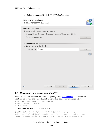|  | Select appropriate NFSROOT/TFTP Configuration |  |  |  |
|--|-----------------------------------------------|--|--|--|
|--|-----------------------------------------------|--|--|--|

| NFSROOT/TFTP Configuration<br>Select the NFSROOT/TFTP Configuration           |                                                                     |               |
|-------------------------------------------------------------------------------|---------------------------------------------------------------------|---------------|
| <b>NFSROOT Configuration</b><br>✔ Export Root file system to an NFS Directory | O Use platform dependant default path (/exports/nfsroot-cc9m2443js) |               |
| O NFSROOT Directory:<br><b>TFTP Configuration</b>                             |                                                                     | Browse        |
| ✔ Export Images for tftp download<br>TFTP Directory: /tftpboot                |                                                                     | Browse<br>(?) |
|                                                                               |                                                                     |               |
|                                                                               |                                                                     |               |
| ඹ                                                                             | Einish<br>$\leq$ Back<br>$Next$ >                                   | Cancel        |

#### *3.1 Download and cross compile PHP*

Download a recent stable PHP source code package from http://php.net/. This document has been tested with php-5.2.11.tar.bz2. Store/deflate it into your project directory:

```
# cd $HOME/$YOURWORKSPACE/$YOURPROJECTNAME 
# tar xjf php-5.2.11.tar.bz2 
# cd php-5.2.11
```
Cross compile the PHP interpreter like this:

```
# export PATH=/usr/local/DigiEL-5.1/usr/bin:$PATH 
# CC=arm-linux-gcc ./configure --host=arm-linux --prefix=/usr --without-iconv --
disable-xml --without-pear --disable-libxml --disable-dom --disable-simplexml --
disable-xmlreader --disable-xmlwriter --without-pdo-sqlite --enable-fastcgi
```

```
Copyright 2009 Digi International Page 5/14
```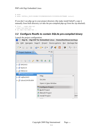PHP with Digi Embedded Linux

```
# make 
# make INSTALL_ROOT=$HOME/$YOURWORKSPACE/$YOURPROJECTNAME install
```
If you don't see php-cgi in your project directory (the make install failed?), copy it manually from built directory (or take the pre-compiled php-cgi from the zip attached).

# find . –name php-cgi ./sapi/cgi/php-cgi # cp sapi/cgi/php-cgi ..

### *3.2 Configure Rootfs to contain SQLite pre-compiled binary*

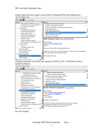#### PHP with Digi Embedded Linux

Enable Sqlite data base engine in the Rootfs Configuration/Pre-built applications:



#### configure the kernel for POSIX file locking (CONFIG\_FILE\_LOCKING) which is needed for SQLite:



Save the changes.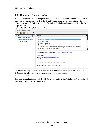### *3.3 Configure Busybox httpd*

If you decide to use the pre-compiled httpd included in the busybox, you need to select it into your project config (which is the default). Right click on your project and select "Configure project". Select Rootfs Configuration, Pre-built applications and Busybox's httpd web server

(CONFIG\_DEL\_PACKAGE\_HTTPD)

File Edit Option Help



To enable the busybox httpd to launch the PHP interpreter when called with .php in the URL, add the following line to the /etc/httpd.conf of your rootfs:

\*.php:/usr/bin/php-cgi

E.g. copy the default /usr/local/DigiEL-5.1/rootfs/rootfs extras/httpd/rootfs/etc/httpd.conf into your project directory and edit it.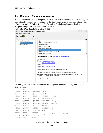### *3.4 Configure Cherokee web server*

If you decide to use the pre-compiled Cherokee web server, you need to select it into your project config (disable busybox httpd for this first). Right click on your project and select "Configure project". Select Rootfs Configuration, Pre-built applications deselect Busybox's httpd web server and select Cherokee



#### (CONFIG\_DEL\_PACKAGE\_CHEROKEE)

To configure Cherokee to launch the PHP interpreter, add the following lines to your cherokee.conf:

```
vserver!10!rule!600!encoder!deflate = 0 
vserver!10!rule!600!encoder!gzip = 1 
vserver!10!rule!600!handler = fcgi 
vserver!10!rule!600!handler!balancer = round_robin 
vserver!10!rule!600!handler!balancer!source!\overline{1} = 1
vserver!10!rule!600!handler!change user = 0vserver!10!rule!600!handler!check_file = 1 
vserver!10!rule!600!handler!error_handler = 1
vserver!10!rule!600!handler!pass_req_headers = 1 
vserver!10!rule!600!handler!xsendfile = 0 
vserver!10!rule!600!match = extensions 
vserver!10!rule!600!match!extensions = php 
vserver!10!rule!600!only secure = 0
source!1!host = localhost:50000 
source!1!interpreter = /usr/bin/php-cgi -b localhost:50000 
source!1!nick = PHP Interpreter 
source!1!type = interpreter
```
Copyright 2009 Digi International Page 9/14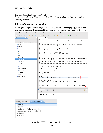E.g. copy the default /usr/local/DigiEL-

5.1/rootfs/rootfs\_extras/cherokee/rootfs/etc/Cherokee/cherokee.conf into your project directory and edit it.

### *3.5 Add files to your rootfs*

Unfold your project, select configs and open add\_files.sh. Add the php-cgi, the test.php and the httpd.conf or cherokee.conf (according to your selected web server) to the rootfs:

File Edit Navigate Search Project Device options Run Package Manager Window Help

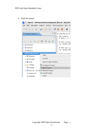• Built the project:

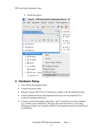• Install the project:



### **4 Hardware Setup**

- Turn off the development board.
- Connect the power cable.
- Plug the Connect ME 9210 or ConnectCore module to the development board.
- Connect Ethernet between development board and your development PC or switch (for updating firmware).
- Connect a serial null modem cable (pins 2 and 3 crossed) to your host computer (e.g. COMA is the CONSOLE). Plug the cable into Serial Port A of the Digi development board. On ConnectCore9P9215 development board use Serial Port D (CONSOLE).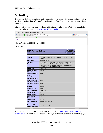## **5 Testing**

Run the newly built kernel and rootfs on module (e.g. update the images in flash built in section 3 "update linux tftp;rootfs tftp;dboot linux flash", or boot with NFS-root: "dboot linux tftp").

Start a web browser on your development host and point it to the IP of your module to check the php test page:  $\frac{http://192.168.42.30/test.php}{http://192.168.42.30/test.php}$ 



If you click on the SQLite example link (or enter URL: http://192.168.42.30/sqliteexample.php) you will see the output of the SQL statements executed in this PHP page.